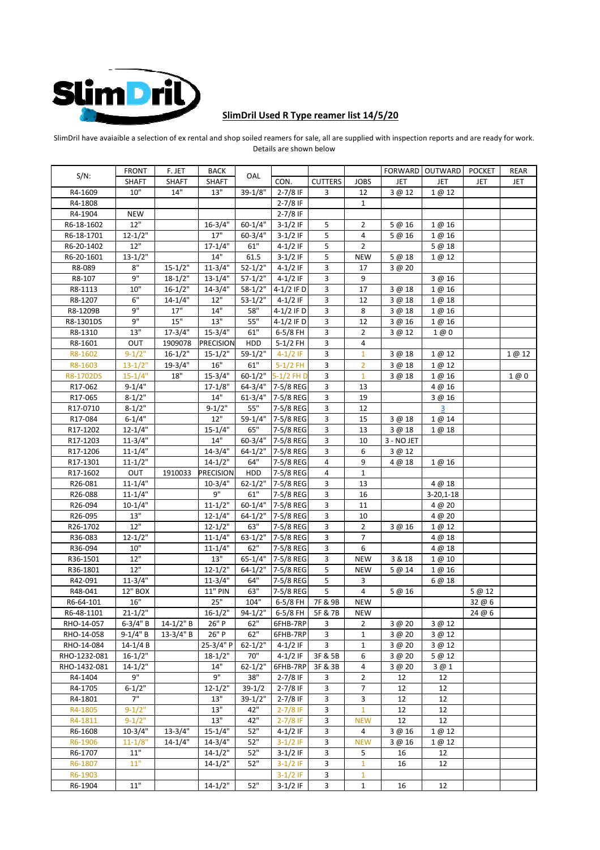

## SlimDril Used R Type reamer list 14/5/20

SlimDril have avaiaible a selection of ex rental and shop soiled reamers for sale, all are supplied with inspection reports and are ready for work. Details are shown below

|                    | <b>FRONT</b> | F. JET         | BACK             |                    |                          |                |                   |            | FORWARD OUTWARD         | <b>POCKET</b>    | REAR   |
|--------------------|--------------|----------------|------------------|--------------------|--------------------------|----------------|-------------------|------------|-------------------------|------------------|--------|
| $S/N$ :            | <b>SHAFT</b> | <b>SHAFT</b>   | <b>SHAFT</b>     | OAL                | CON.                     | <b>CUTTERS</b> | <b>JOBS</b>       | JET        | JET                     | JET              | JET    |
| R4-1609            | 10"          | 14"            | 13"              | $39-1/8"$          | $2 - 7/8$ IF             | 3              | 12                | 3 @ 12     | 1 @ 12                  |                  |        |
| R4-1808            |              |                |                  |                    | $2 - 7/8$ IF             |                | $\mathbf{1}$      |            |                         |                  |        |
| R4-1904            | NEW          |                |                  |                    | $2-7/8$ IF               |                |                   |            |                         |                  |        |
| R6-18-1602         | 12"          |                | $16 - 3/4"$      | $60 - 1/4"$        | $3-1/2$ IF               | 5              | 2                 | 5 @ 16     | 1 @ 16                  |                  |        |
| R6-18-1701         | $12 - 1/2"$  |                | 17"              | $60 - 3/4"$        | $3-1/2$ IF               | 5              | 4                 | 5 @ 16     | 1@16                    |                  |        |
| R6-20-1402         | 12"          |                | $17 - 1/4"$      | 61"                | $4 - 1/2$ IF             | 5              | $\overline{2}$    |            | 5 @ 18                  |                  |        |
| R6-20-1601         | $13 - 1/2"$  |                | 14"              | 61.5               | $3-1/2$ IF               | 5              | <b>NEW</b>        | 5 @ 18     | 1 @ 12                  |                  |        |
| R8-089             | 8"           | $15 - 1/2"$    | $11 - 3/4"$      | $52 - 1/2"$        | 4-1/2 IF                 | 3              | 17                | 3 @ 20     |                         |                  |        |
| R8-107             | 9"           | $18-1/2"$      | 13-1/4"          | $57-1/2"$          | $4 - 1/2$ IF             | 3              | 9                 |            | 3 @ 16                  |                  |        |
| R8-1113            | 10"          | $16 - 1/2"$    | $14 - 3/4"$      | $58-1/2"$          | 4-1/2 IF D               | 3              | 17                | 3 @ 18     | 1 @ 16                  |                  |        |
| R8-1207            | 6"           | $14 - 1/4"$    | $12$ "           | $53-1/2"$          | 4-1/2 IF                 | 3              | 12                | 3@18       | 1 @ 18                  |                  |        |
| R8-1209B           | 9"           | 17"            | 14"              | 58"                | 4-1/2 IF D               | 3              | 8                 | 3 @ 18     | 1 @ 16                  |                  |        |
| R8-1301DS          | 9"           | $15\mathrm{"}$ | 13"              | 55"                | 4-1/2 IF D               | 3              | 12                | 3 @ 16     | 1@16                    |                  |        |
| R8-1310            | 13"          | $17 - 3/4"$    | $15 - 3/4"$      | 61"                | 6-5/8 FH                 | 3              | $\overline{2}$    | 3 @ 12     | 1 @ 0                   |                  |        |
| R8-1601            | OUT          | 1909078        | <b>PRECISION</b> | HDD                | $5-1/2$ FH               | 3              | 4                 |            |                         |                  |        |
| R8-1602            | $9 - 1/2"$   | $16 - 1/2"$    | $15 - 1/2"$      | $59-1/2"$          | $4-1/2$ IF               | 3              | $\mathbf{1}$      | 3 @ 18     | 1 @ 12                  |                  | 1 @ 12 |
| R8-1603            | $13 - 1/2"$  | $19 - 3/4"$    | 16"              | 61"                | $5-1/2$ FH               | 3              | 2                 | 3 @ 18     | 1 @ 12                  |                  |        |
| R8-1702DS          | $15 - 1/4"$  | 18"            | $15 - 3/4"$      | $60 - 1/2"$        | $5-1/2$ FH D             | 3              | $\mathbf{1}$      | 3 @ 18     | 1 @ 16                  |                  | 1@0    |
| R17-062            | $9 - 1/4"$   |                | $17 - 1/8"$      |                    | 64-3/4" 7-5/8 REG        | 3              | 13                |            | 4 @ 16                  |                  |        |
| R17-065            | $8 - 1/2"$   |                | 14"              |                    | 61-3/4" 7-5/8 REG        | 3              | 19                |            | 3 @ 16                  |                  |        |
| R17-0710           | $8 - 1/2"$   |                | $9 - 1/2"$       | 55"                | 7-5/8 REG                | 3              | 12                |            | $\overline{\mathbf{3}}$ |                  |        |
| R17-084            | $6 - 1/4"$   |                | 12"              | 59-1/4"            | 7-5/8 REG                | 3              | 15                | 3 @ 18     | 1 @ 14                  |                  |        |
| R17-1202           | $12 - 1/4"$  |                | $15 - 1/4"$      | 65"                | 7-5/8 REG                | 3              | 13                | 3@18       | 1@18                    |                  |        |
| R17-1203           | $11 - 3/4"$  |                | 14"              | $60 - 3/4"$        | 7-5/8 REG                | 3              | 10                | 3 - NO JET |                         |                  |        |
| R17-1206           | $11 - 1/4"$  |                | $14 - 3/4"$      | $64 - 1/2"$        | 7-5/8 REG                | 3              | 6                 | 3 @ 12     |                         |                  |        |
| R17-1301           | $11 - 1/2"$  |                | $14 - 1/2"$      | 64"                | 7-5/8 REG                | 4              | 9                 | 4 @ 18     | 1 @ 16                  |                  |        |
| R17-1602           | OUT          | 1910033        | PRECISION        | HDD                | 7-5/8 REG                | 4              | 1                 |            |                         |                  |        |
| R26-081            | $11 - 1/4"$  |                | $10-3/4"$        | $62 - 1/2"$        | 7-5/8 REG                | 3              | 13                |            | 4 @ 18                  |                  |        |
| R26-088            | $11 - 1/4"$  |                | 9"               | 61"                | 7-5/8 REG                | 3              | 16                |            | $3-20,1-18$             |                  |        |
| R26-094            | $10-1/4"$    |                | $11 - 1/2"$      | $60 - 1/4"$        | 7-5/8 REG                | 3              | 11                |            | 4@20                    |                  |        |
| R26-095            | 13"          |                | $12 - 1/4"$      | $64 - 1/2"$        | 7-5/8 REG                | 3              | 10                |            |                         |                  |        |
| R26-1702           | 12"          |                | $12 - 1/2"$      | 63"                | 7-5/8 REG                | 3              | $\overline{2}$    | 3@16       | 4 @ 20<br>1 @ 12        |                  |        |
| R36-083            | $12 - 1/2"$  |                | $11 - 1/4"$      | $63 - 1/2"$        | 7-5/8 REG                | 3              | $\overline{7}$    |            | 4 @ 18                  |                  |        |
| R36-094            | 10"          |                | $11 - 1/4"$      | 62"                | 7-5/8 REG                | 3              | 6                 |            | 4 @ 18                  |                  |        |
|                    | 12"          |                | 13"              |                    | 65-1/4" 7-5/8 REG        |                |                   |            |                         |                  |        |
| R36-1501           | 12"          |                | $12 - 1/2"$      | $64 - 1/2"$        | 7-5/8 REG                | 3<br>5         | <b>NEW</b>        | 3 & 18     | 1@10                    |                  |        |
| R36-1801           | $11 - 3/4"$  |                | $11 - 3/4"$      | 64"                | 7-5/8 REG                |                | <b>NEW</b><br>3   | 5 @ 14     | 1 @ 16                  |                  |        |
| R42-091<br>R48-041 | 12" BOX      |                | 11" PIN          | 63"                | 7-5/8 REG                | 5<br>5         | $\overline{4}$    |            | 6 @ 18                  | 5 @ 12           |        |
| R6-64-101          | 16"          |                | 25"              | 104"               | 6-5/8 FH                 | 7F & 9B        | <b>NEW</b>        | 5 @ 16     |                         |                  |        |
| R6-48-1101         | $21 - 1/2"$  |                | $16 - 1/2"$      | $94 - 1/2"$        | 6-5/8 FH                 |                | <b>NEW</b>        |            |                         | 32 @ 6<br>24 @ 6 |        |
| RHO-14-057         | $6-3/4" B$   | $14 - 1/2$ " B | 26" P            | 62"                | 6FHB-7RP                 | 5F & 7B        |                   | 3 @ 20     |                         |                  |        |
| RHO-14-058         | $9-1/4" B$   | $13-3/4" B$    | 26" P            | 62"                | 6FHB-7RP                 | 3<br>3         | 2<br>$\mathbf{1}$ | 3 @ 20     | 3 @ 12<br>3 @ 12        |                  |        |
| RHO-14-084         | $14 - 1/4 B$ |                | 25-3/4" P        | $62 - 1/2"$        | $4-1/2$ IF               | 3              |                   |            |                         |                  |        |
| RHO-1232-081       | $16 - 1/2"$  |                | $18 - 1/2"$      | 70"                | $4-1/2$ IF               |                | 1<br>6            | 3 @ 20     | 3 @ 12                  |                  |        |
|                    | $14 - 1/2"$  |                | 14"              |                    |                          | 3F & 5B        |                   | 3 @ 20     | 5 @ 12                  |                  |        |
| RHO-1432-081       | 9"           |                | 9"               | $62 - 1/2"$<br>38" | 6FHB-7RP<br>$2 - 7/8$ IF | 3F & 3B        | 4                 | 3 @ 20     | 3 @ 1                   |                  |        |
| R4-1404<br>R4-1705 |              |                | $12 - 1/2"$      |                    |                          | 3              | $\overline{2}$    | 12         | 12                      |                  |        |
|                    | $6 - 1/2"$   |                |                  | $39-1/2$           | $2 - 7/8$ IF             | 3              | $\overline{7}$    | 12         | 12                      |                  |        |
| R4-1801            | 7"           |                | 13"              | $39-1/2"$          | $2 - 7/8$ IF             | 3              | 3                 | 12         | 12                      |                  |        |
| R4-1805            | $9 - 1/2"$   |                | 13"              | 42"                | $2 - 7/8$ IF             | 3              | $\mathbf{1}$      | 12         | 12                      |                  |        |
| R4-1811            | $9 - 1/2"$   |                | 13"              | 42"                | $2 - 7/8$ IF             | 3              | <b>NEW</b>        | 12         | 12                      |                  |        |
| R6-1608            | $10-3/4"$    | $13 - 3/4"$    | $15 - 1/4"$      | 52"                | $4 - 1/2$ IF             | 3              | 4                 | 3 @ 16     | 1 @ 12                  |                  |        |
| R6-1906            | $11 - 1/8"$  | $14 - 1/4"$    | $14 - 3/4"$      | 52"                | $3-1/2$ IF               | 3              | <b>NEW</b>        | 3@16       | 1 @ 12                  |                  |        |
| R6-1707            | 11"          |                | $14 - 1/2"$      | 52"                | $3-1/2$ IF               | 3              | 5                 | 16         | 12                      |                  |        |
| R6-1807            | 11"          |                | $14 - 1/2"$      | 52"                | $3-1/2$ IF               | 3              | $\mathbf{1}$      | 16         | 12                      |                  |        |
| R6-1903            |              |                |                  |                    | $3-1/2$ IF               | 3              | $\mathbf{1}$      |            |                         |                  |        |
| R6-1904            | 11"          |                | $14 - 1/2"$      | 52"                | $3-1/2$ IF               | 3              | $\mathbf{1}$      | 16         | 12                      |                  |        |